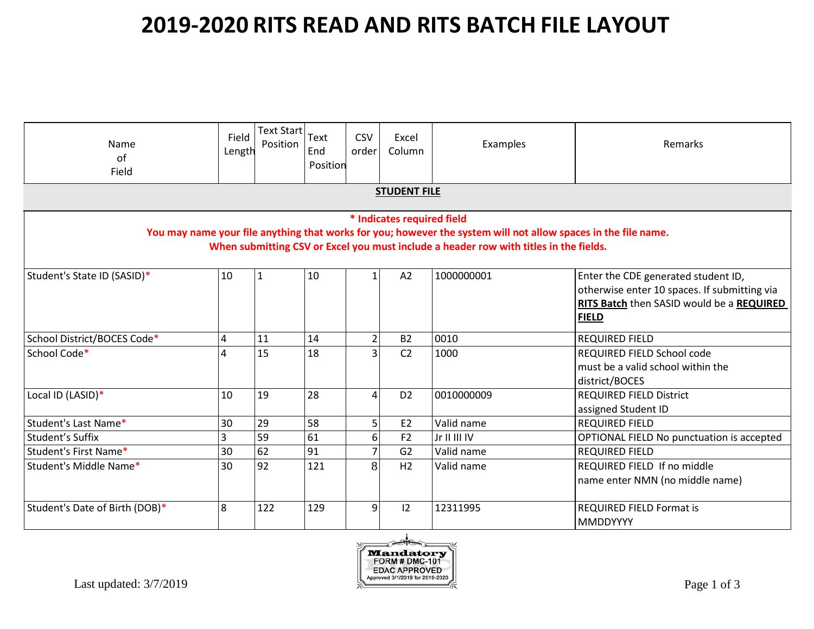| Name<br>of<br>Field            | Field<br>Length | <b>Text Start</b><br>Position | Text<br>End<br>Position | <b>CSV</b><br>order | Excel<br>Column            | Examples                                                                                                                                                                                                | Remarks                                                                                                                                          |  |
|--------------------------------|-----------------|-------------------------------|-------------------------|---------------------|----------------------------|---------------------------------------------------------------------------------------------------------------------------------------------------------------------------------------------------------|--------------------------------------------------------------------------------------------------------------------------------------------------|--|
| <b>STUDENT FILE</b>            |                 |                               |                         |                     |                            |                                                                                                                                                                                                         |                                                                                                                                                  |  |
|                                |                 |                               |                         |                     | * Indicates required field | You may name your file anything that works for you; however the system will not allow spaces in the file name.<br>When submitting CSV or Excel you must include a header row with titles in the fields. |                                                                                                                                                  |  |
| Student's State ID (SASID)*    | 10              | $\vert$ 1                     | 10                      | $\mathbf{1}$        | A2                         | 1000000001                                                                                                                                                                                              | Enter the CDE generated student ID,<br>otherwise enter 10 spaces. If submitting via<br>RITS Batch then SASID would be a REQUIRED<br><b>FIELD</b> |  |
| School District/BOCES Code*    | 4               | 11                            | 14                      | $\overline{2}$      | <b>B2</b>                  | 0010                                                                                                                                                                                                    | <b>REQUIRED FIELD</b>                                                                                                                            |  |
| School Code*                   | $\overline{4}$  | 15                            | 18                      | $\overline{3}$      | C <sub>2</sub>             | 1000                                                                                                                                                                                                    | REQUIRED FIELD School code<br>must be a valid school within the<br>district/BOCES                                                                |  |
| Local ID (LASID)*              | 10              | 19                            | 28                      | 4                   | D <sub>2</sub>             | 0010000009                                                                                                                                                                                              | <b>REQUIRED FIELD District</b><br>assigned Student ID                                                                                            |  |
| Student's Last Name*           | 30              | 29                            | 58                      | 5                   | E <sub>2</sub>             | Valid name                                                                                                                                                                                              | <b>REQUIRED FIELD</b>                                                                                                                            |  |
| Student's Suffix               | $\overline{3}$  | 59                            | 61                      | 6 <sup>1</sup>      | F <sub>2</sub>             | Jr II III IV                                                                                                                                                                                            | OPTIONAL FIELD No punctuation is accepted                                                                                                        |  |
| Student's First Name*          | 30              | 62                            | 91                      | $\overline{7}$      | G <sub>2</sub>             | Valid name                                                                                                                                                                                              | <b>REQUIRED FIELD</b>                                                                                                                            |  |
| Student's Middle Name*         | 30              | 92                            | 121                     | 8                   | H2                         | Valid name                                                                                                                                                                                              | REQUIRED FIELD If no middle<br>name enter NMN (no middle name)                                                                                   |  |
| Student's Date of Birth (DOB)* | 8               | 122                           | 129                     | $\overline{9}$      | 12                         | 12311995                                                                                                                                                                                                | <b>REQUIRED FIELD Format is</b><br><b>MMDDYYYY</b>                                                                                               |  |

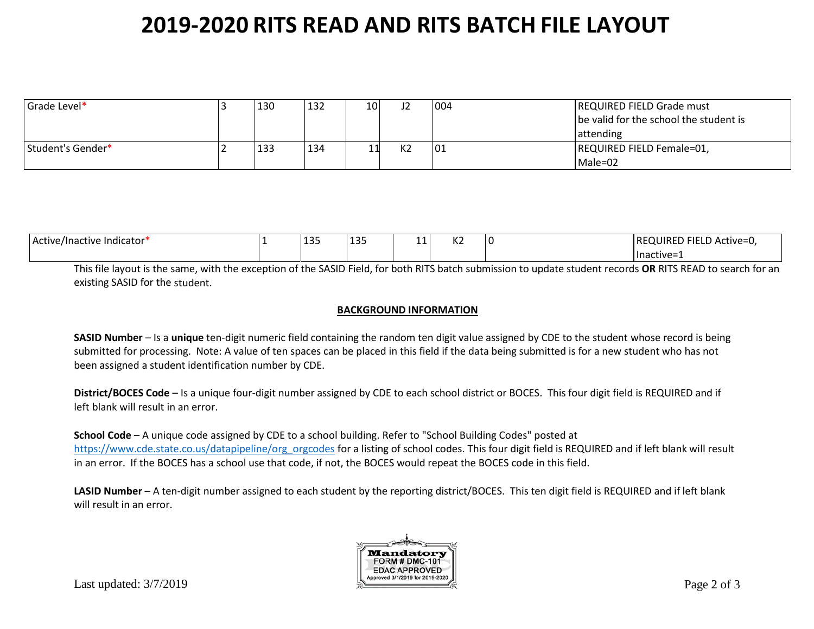| Grade Level*      | 130 | 132 | 101 | 12             | 004 | <b>REQUIRED FIELD Grade must</b><br>be valid for the school the student is |
|-------------------|-----|-----|-----|----------------|-----|----------------------------------------------------------------------------|
|                   |     |     |     |                |     | <b>lattending</b>                                                          |
| Student's Gender* | 133 | 134 |     | K <sub>2</sub> | 01  | REQUIRED FIELD Female=01,                                                  |
|                   |     |     |     |                |     | Male=02                                                                    |

| .<br>Active/Inactive<br>: Indicator' | $\sim$ $\sim$ $\sim$<br>--- | 121<br>--- | $\overline{ }$<br>-- | $\overline{\phantom{a}}$<br>n. | ר־FIELD Active=U,<br><b>REQUIRED</b> |
|--------------------------------------|-----------------------------|------------|----------------------|--------------------------------|--------------------------------------|
|                                      |                             |            |                      |                                | Thactive=                            |

This file layout is the same, with the exception of the SASID Field, for both RITS batch submission to update student records **OR** RITS READ to search for an existing SASID for the student.

#### **BACKGROUND INFORMATION**

**SASID Number** – Is a **unique** ten-digit numeric field containing the random ten digit value assigned by CDE to the student whose record is being submitted for processing. Note: A value of ten spaces can be placed in this field if the data being submitted is for a new student who has not been assigned a student identification number by CDE.

**District/BOCES Code** – Is a unique four-digit number assigned by CDE to each school district or BOCES. This four digit field is REQUIRED and if left blank will result in an error.

**School Code** – A unique code assigned by CDE to a school building. Refer to "School Building Codes" posted at [https://www.cde.state.co.us/datapipeline/org\\_orgcodes](https://www.cde.state.co.us/datapipeline/org_orgcodes) for a listing of school codes. This four digit field is REQUIRED and if left blank will result in an error. If the BOCES has a school use that code, if not, the BOCES would repeat the BOCES code in this field.

**LASID Number** – A ten-digit number assigned to each student by the reporting district/BOCES. This ten digit field is REQUIRED and if left blank will result in an error.

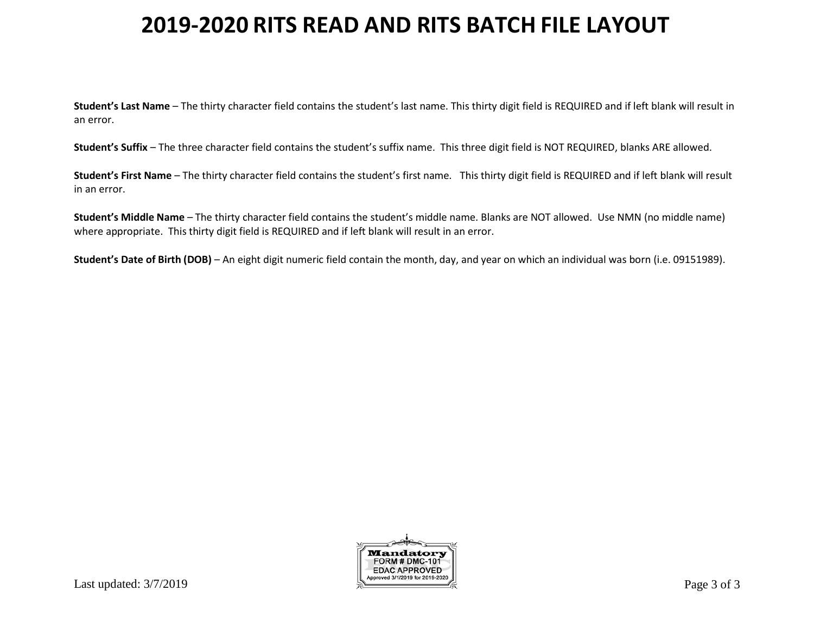**Student's Last Name** – The thirty character field contains the student's last name. This thirty digit field is REQUIRED and if left blank will result in an error.

**Student's Suffix** – The three character field contains the student's suffix name. This three digit field is NOT REQUIRED, blanks ARE allowed.

**Student's First Name** – The thirty character field contains the student's first name. This thirty digit field is REQUIRED and if left blank will result in an error.

**Student's Middle Name** – The thirty character field contains the student's middle name. Blanks are NOT allowed. Use NMN (no middle name) where appropriate. This thirty digit field is REQUIRED and if left blank will result in an error.

**Student's Date of Birth (DOB)** – An eight digit numeric field contain the month, day, and year on which an individual was born (i.e. 09151989).